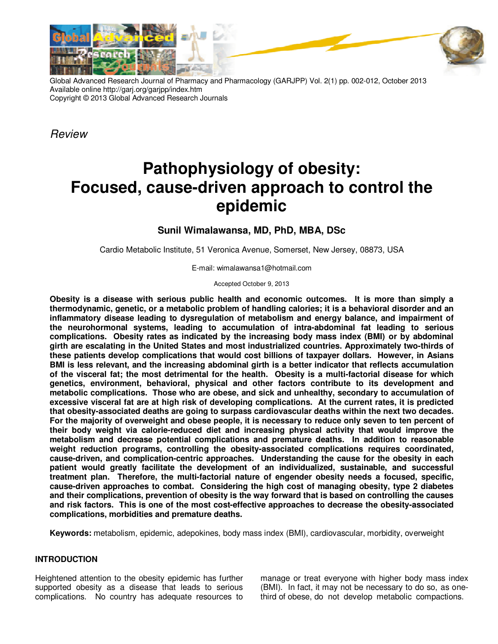

Global Advanced Research Journal of Pharmacy and Pharmacology (GARJPP) Vol. 2(1) pp. 002-012, October 2013 Available online http://garj.org/garjpp/index.htm Copyright © 2013 Global Advanced Research Journals

*Review* 

# **Pathophysiology of obesity: Focused, cause-driven approach to control the epidemic**

## **Sunil Wimalawansa, MD, PhD, MBA, DSc**

Cardio Metabolic Institute, 51 Veronica Avenue, Somerset, New Jersey, 08873, USA

E-mail: wimalawansa1@hotmail.com

Accepted October 9, 2013

**Obesity is a disease with serious public health and economic outcomes. It is more than simply a thermodynamic, genetic, or a metabolic problem of handling calories; it is a behavioral disorder and an inflammatory disease leading to dysregulation of metabolism and energy balance, and impairment of the neurohormonal systems, leading to accumulation of intra-abdominal fat leading to serious complications. Obesity rates as indicated by the increasing body mass index (BMI) or by abdominal girth are escalating in the United States and most industrialized countries. Approximately two-thirds of these patients develop complications that would cost billions of taxpayer dollars. However, in Asians BMI is less relevant, and the increasing abdominal girth is a better indicator that reflects accumulation of the visceral fat; the most detrimental for the health. Obesity is a multi-factorial disease for which genetics, environment, behavioral, physical and other factors contribute to its development and metabolic complications. Those who are obese, and sick and unhealthy, secondary to accumulation of excessive visceral fat are at high risk of developing complications. At the current rates, it is predicted that obesity-associated deaths are going to surpass cardiovascular deaths within the next two decades. For the majority of overweight and obese people, it is necessary to reduce only seven to ten percent of their body weight via calorie-reduced diet and increasing physical activity that would improve the metabolism and decrease potential complications and premature deaths. In addition to reasonable weight reduction programs, controlling the obesity-associated complications requires coordinated, cause-driven, and complication-centric approaches. Understanding the cause for the obesity in each patient would greatly facilitate the development of an individualized, sustainable, and successful treatment plan. Therefore, the multi-factorial nature of engender obesity needs a focused, specific, cause-driven approaches to combat. Considering the high cost of managing obesity, type 2 diabetes and their complications, prevention of obesity is the way forward that is based on controlling the causes and risk factors. This is one of the most cost-effective approaches to decrease the obesity-associated complications, morbidities and premature deaths.** 

**Keywords:** metabolism, epidemic, adepokines, body mass index (BMI), cardiovascular, morbidity, overweight

## **INTRODUCTION**

Heightened attention to the obesity epidemic has further supported obesity as a disease that leads to serious complications. No country has adequate resources to

manage or treat everyone with higher body mass index (BMI). In fact, it may not be necessary to do so, as onethird of obese, do not develop metabolic compactions.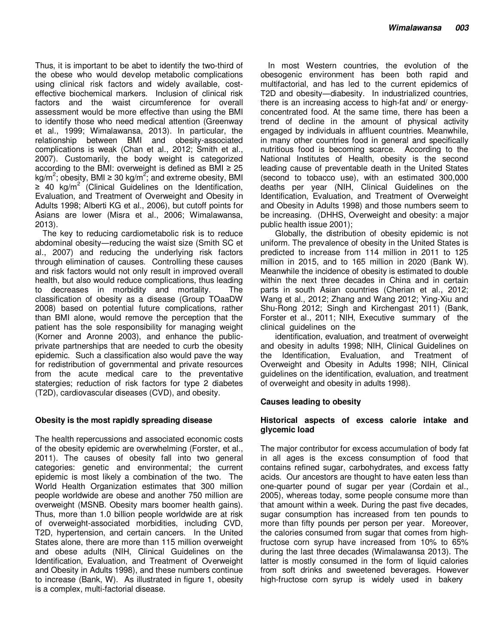Thus, it is important to be abet to identify the two-third of the obese who would develop metabolic complications using clinical risk factors and widely available, costeffective biochemical markers. Inclusion of clinical risk factors and the waist circumference for overall assessment would be more effective than using the BMI to identify those who need medical attention (Greenway et al., 1999; Wimalawansa, 2013). In particular, the relationship between BMI and obesity-associated complications is weak (Chan et al., 2012; Smith et al., 2007). Customarily, the body weight is categorized according to the BMI: overweight is defined as BMI  $\geq 25$ kg/m<sup>2</sup>; obesity, BMI ≥ 30 kg/m<sup>2</sup>; and extreme obesity, BMI  $\geq$  40 kg/m<sup>2</sup> (Clinical Guidelines on the Identification, Evaluation, and Treatment of Overweight and Obesity in Adults 1998; Alberti KG et al., 2006), but cutoff points for Asians are lower (Misra et al., 2006; Wimalawansa, 2013).

The key to reducing cardiometabolic risk is to reduce abdominal obesity―reducing the waist size (Smith SC et al., 2007) and reducing the underlying risk factors through elimination of causes. Controlling these causes and risk factors would not only result in improved overall health, but also would reduce complications, thus leading to decreases in morbidity and mortality. The classification of obesity as a disease (Group TOaaDW 2008) based on potential future complications, rather than BMI alone, would remove the perception that the patient has the sole responsibility for managing weight (Korner and Aronne 2003), and enhance the publicprivate partnerships that are needed to curb the obesity epidemic. Such a classification also would pave the way for redistribution of governmental and private resources from the acute medical care to the preventative statergies; reduction of risk factors for type 2 diabetes (T2D), cardiovascular diseases (CVD), and obesity.

## **Obesity is the most rapidly spreading disease**

The health repercussions and associated economic costs of the obesity epidemic are overwhelming (Forster, et al., 2011). The causes of obesity fall into two general categories: genetic and environmental; the current epidemic is most likely a combination of the two. The World Health Organization estimates that 300 million people worldwide are obese and another 750 million are overweight (MSNB. Obesity mars boomer health gains). Thus, more than 1.0 billion people worldwide are at risk of overweight-associated morbidities, including CVD, T2D, hypertension, and certain cancers. In the United States alone, there are more than 115 million overweight and obese adults (NIH, Clinical Guidelines on the Identification, Evaluation, and Treatment of Overweight and Obesity in Adults 1998), and these numbers continue to increase (Bank, W). As illustrated in figure 1, obesity is a complex, multi-factorial disease.

In most Western countries, the evolution of the obesogenic environment has been both rapid and multifactorial, and has led to the current epidemics of T2D and obesity―diabesity. In industrialized countries, there is an increasing access to high-fat and/ or energyconcentrated food. At the same time, there has been a trend of decline in the amount of physical activity engaged by individuals in affluent countries. Meanwhile, in many other countries food in general and specifically nutritious food is becoming scarce. According to the National Institutes of Health, obesity is the second leading cause of preventable death in the United States (second to tobacco use), with an estimated 300,000 deaths per year (NIH, Clinical Guidelines on the Identification, Evaluation, and Treatment of Overweight and Obesity in Adults 1998) and those numbers seem to be increasing. (DHHS, Overweight and obesity: a major public health issue 2001);

Globally, the distribution of obesity epidemic is not uniform. The prevalence of obesity in the United States is predicted to increase from 114 million in 2011 to 125 million in 2015, and to 165 million in 2020 (Bank W). Meanwhile the incidence of obesity is estimated to double within the next three decades in China and in certain parts in south Asian countries (Cherian et al., 2012; Wang et al., 2012; Zhang and Wang 2012; Ying-Xiu and Shu-Rong 2012; Singh and Kirchengast 2011) (Bank, Forster et al., 2011; NIH, Executive summary of the clinical guidelines on the

identification, evaluation, and treatment of overweight and obesity in adults 1998; NIH, Clinical Guidelines on the Identification, Evaluation, and Treatment of Overweight and Obesity in Adults 1998; NIH, Clinical guidelines on the identification, evaluation, and treatment of overweight and obesity in adults 1998).

## **Causes leading to obesity**

## **Historical aspects of excess calorie intake and glycemic load**

The major contributor for excess accumulation of body fat in all ages is the excess consumption of food that contains refined sugar, carbohydrates, and excess fatty acids. Our ancestors are thought to have eaten less than one-quarter pound of sugar per year (Cordain et al., 2005), whereas today, some people consume more than that amount within a week. During the past five decades, sugar consumption has increased from ten pounds to more than fifty pounds per person per year. Moreover, the calories consumed from sugar that comes from highfructose corn syrup have increased from 10% to 65% during the last three decades (Wimalawansa 2013). The latter is mostly consumed in the form of liquid calories from soft drinks and sweetened beverages. However high-fructose corn syrup is widely used in bakery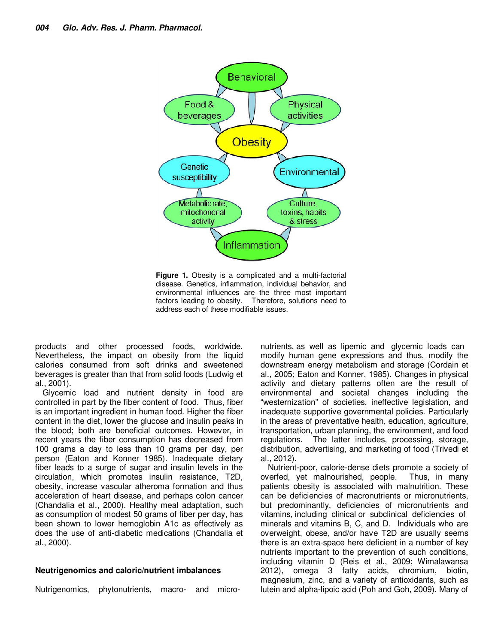

**Figure 1.** Obesity is a complicated and a multi-factorial disease. Genetics, inflammation, individual behavior, and environmental influences are the three most important factors leading to obesity. Therefore, solutions need to address each of these modifiable issues.

products and other processed foods, worldwide. Nevertheless, the impact on obesity from the liquid calories consumed from soft drinks and sweetened beverages is greater than that from solid foods (Ludwig et al., 2001).

Glycemic load and nutrient density in food are controlled in part by the fiber content of food. Thus, fiber is an important ingredient in human food. Higher the fiber content in the diet, lower the glucose and insulin peaks in the blood; both are beneficial outcomes. However, in recent years the fiber consumption has decreased from 100 grams a day to less than 10 grams per day, per person (Eaton and Konner 1985). Inadequate dietary fiber leads to a surge of sugar and insulin levels in the circulation, which promotes insulin resistance, T2D, obesity, increase vascular atheroma formation and thus acceleration of heart disease, and perhaps colon cancer (Chandalia et al., 2000). Healthy meal adaptation, such as consumption of modest 50 grams of fiber per day, has been shown to lower hemoglobin A1c as effectively as does the use of anti-diabetic medications (Chandalia et al., 2000).

#### **Neutrigenomics and caloric/nutrient imbalances**

Nutrigenomics, phytonutrients, macro- and micro-

nutrients, as well as lipemic and glycemic loads can modify human gene expressions and thus, modify the downstream energy metabolism and storage (Cordain et al., 2005; Eaton and Konner, 1985). Changes in physical activity and dietary patterns often are the result of environmental and societal changes including the "westernization" of societies, ineffective legislation, and inadequate supportive governmental policies. Particularly in the areas of preventative health, education, agriculture, transportation, urban planning, the environment, and food regulations. The latter includes, processing, storage, distribution, advertising, and marketing of food (Trivedi et al., 2012).

Nutrient-poor, calorie-dense diets promote a society of overfed, yet malnourished, people. Thus, in many patients obesity is associated with malnutrition. These can be deficiencies of macronutrients or micronutrients, but predominantly, deficiencies of micronutrients and vitamins, including clinical or subclinical deficiencies of minerals and vitamins B, C, and D. Individuals who are overweight, obese, and/or have T2D are usually seems there is an extra-space here deficient in a number of key nutrients important to the prevention of such conditions, including vitamin D (Reis et al., 2009; Wimalawansa 2012), omega 3 fatty acids, chromium, biotin, magnesium, zinc, and a variety of antioxidants, such as lutein and alpha-lipoic acid (Poh and Goh, 2009). Many of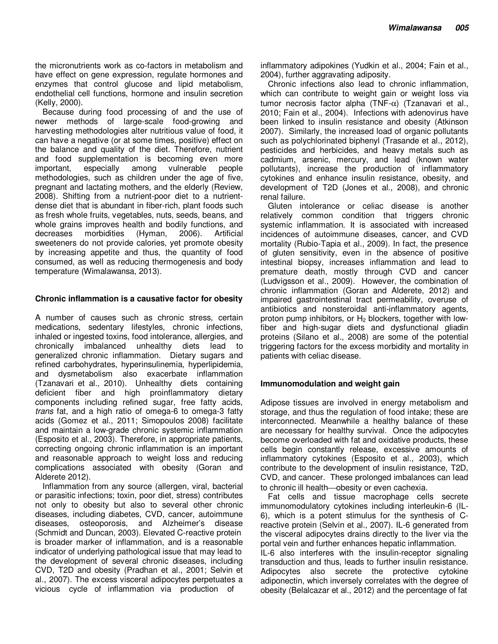the micronutrients work as co-factors in metabolism and have effect on gene expression, regulate hormones and enzymes that control glucose and lipid metabolism, endothelial cell functions, hormone and insulin secretion (Kelly, 2000).

Because during food processing of and the use of newer methods of large-scale food-growing and harvesting methodologies alter nutritious value of food, it can have a negative (or at some times, positive) effect on the balance and quality of the diet. Therefore, nutrient and food supplementation is becoming even more<br>important, especially among vulnerable people important, especially among vulnerable methodologies, such as children under the age of five, pregnant and lactating mothers, and the elderly (Review, 2008). Shifting from a nutrient-poor diet to a nutrientdense diet that is abundant in fiber-rich, plant foods such as fresh whole fruits, vegetables, nuts, seeds, beans, and whole grains improves health and bodily functions, and decreases morbidities (Hyman, 2006). Artificial sweeteners do not provide calories, yet promote obesity by increasing appetite and thus, the quantity of food consumed, as well as reducing thermogenesis and body temperature (Wimalawansa, 2013).

#### **Chronic inflammation is a causative factor for obesity**

A number of causes such as chronic stress, certain medications, sedentary lifestyles, chronic infections, inhaled or ingested toxins, food intolerance, allergies, and chronically imbalanced unhealthy diets lead to generalized chronic inflammation. Dietary sugars and refined carbohydrates, hyperinsulinemia, hyperlipidemia, and dysmetabolism also exacerbate inflammation (Tzanavari et al., 2010). Unhealthy diets containing deficient fiber and high proinflammatory dietary components including refined sugar, free fatty acids, *trans* fat, and a high ratio of omega-6 to omega-3 fatty acids (Gomez et al., 2011; Simopoulos 2008) facilitate and maintain a low-grade chronic systemic inflammation (Esposito et al., 2003). Therefore, in appropriate patients, correcting ongoing chronic inflammation is an important and reasonable approach to weight loss and reducing complications associated with obesity (Goran and Alderete 2012).

Inflammation from any source (allergen, viral, bacterial or parasitic infections; toxin, poor diet, stress) contributes not only to obesity but also to several other chronic diseases, including diabetes, CVD, cancer, autoimmune diseases, osteoporosis, and Alzheimer's disease (Schmidt and Duncan, 2003). Elevated C-reactive protein is broader marker of inflammation, and is a reasonable indicator of underlying pathological issue that may lead to the development of several chronic diseases, including CVD, T2D and obesity (Pradhan et al., 2001; Selvin et al., 2007). The excess visceral adipocytes perpetuates a vicious cycle of inflammation via production of

inflammatory adipokines (Yudkin et al., 2004; Fain et al., 2004), further aggravating adiposity.

Chronic infections also lead to chronic inflammation, which can contribute to weight gain or weight loss via tumor necrosis factor alpha (TNF-α) (Tzanavari et al., 2010; Fain et al., 2004). Infections with adenovirus have been linked to insulin resistance and obesity (Atkinson 2007). Similarly, the increased load of organic pollutants such as polychlorinated biphenyl (Trasande et al., 2012), pesticides and herbicides, and heavy metals such as cadmium, arsenic, mercury, and lead (known water pollutants), increase the production of inflammatory cytokines and enhance insulin resistance, obesity, and development of T2D (Jones et al., 2008), and chronic renal failure.

Gluten intolerance or celiac disease is another relatively common condition that triggers chronic systemic inflammation. It is associated with increased incidences of autoimmune diseases, cancer, and CVD mortality (Rubio-Tapia et al., 2009). In fact, the presence of gluten sensitivity, even in the absence of positive intestinal biopsy, increases inflammation and lead to premature death, mostly through CVD and cancer (Ludvigsson et al., 2009). However, the combination of chronic inflammation (Goran and Alderete, 2012) and impaired gastrointestinal tract permeability, overuse of antibiotics and nonsteroidal anti-inflammatory agents, proton pump inhibitors, or  $H_2$  blockers, together with lowfiber and high-sugar diets and dysfunctional gliadin proteins (Silano et al., 2008) are some of the potential triggering factors for the excess morbidity and mortality in patients with celiac disease.

#### **Immunomodulation and weight gain**

Adipose tissues are involved in energy metabolism and storage, and thus the regulation of food intake; these are interconnected. Meanwhile a healthy balance of these are necessary for healthy survival. Once the adipocytes become overloaded with fat and oxidative products, these cells begin constantly release, excessive amounts of inflammatory cytokines (Esposito et al., 2003), which contribute to the development of insulin resistance, T2D, CVD, and cancer. These prolonged imbalances can lead to chronic ill health-obesity or even cachexia.

Fat cells and tissue macrophage cells secrete immunomodulatory cytokines including interleukin-6 (IL-6), which is a potent stimulus for the synthesis of Creactive protein (Selvin et al., 2007). IL-6 generated from the visceral adipocytes drains directly to the liver via the portal vein and further enhances hepatic inflammation.

IL-6 also interferes with the insulin-receptor signaling transduction and thus, leads to further insulin resistance. Adipocytes also secrete the protective cytokine adiponectin, which inversely correlates with the degree of obesity (Belalcazar et al., 2012) and the percentage of fat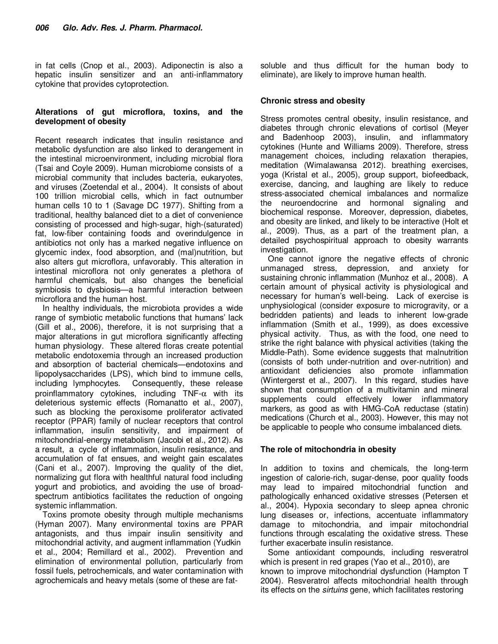in fat cells (Cnop et al., 2003). Adiponectin is also a hepatic insulin sensitizer and an anti-inflammatory cytokine that provides cytoprotection.

## **Alterations of gut microflora, toxins, and the development of obesity**

Recent research indicates that insulin resistance and metabolic dysfunction are also linked to derangement in the intestinal microenvironment, including microbial flora (Tsai and Coyle 2009). Human microbiome consists of a microbial community that includes bacteria, eukaryotes, and viruses (Zoetendal et al., 2004). It consists of about 100 trillion microbial cells, which in fact outnumber human cells 10 to 1 (Savage DC 1977). Shifting from a traditional, healthy balanced diet to a diet of convenience consisting of processed and high-sugar, high-(saturated) fat, low-fiber containing foods and overindulgence in antibiotics not only has a marked negative influence on glycemic index, food absorption, and (mal)nutrition, but also alters gut microflora, unfavorably. This alteration in intestinal microflora not only generates a plethora of harmful chemicals, but also changes the beneficial symbiosis to dysbiosis—a harmful interaction between microflora and the human host.

In healthy individuals, the microbiota provides a wide range of symbiotic metabolic functions that humans' lack (Gill et al., 2006), therefore, it is not surprising that a major alterations in gut microflora significantly affecting human physiology. These altered floras create potential metabolic endotoxemia through an increased production and absorption of bacterial chemicals―endotoxins and lipopolysaccharides (LPS), which bind to immune cells, including lymphocytes. Consequently, these release proinflammatory cytokines, including TNF- $\alpha$  with its deleterious systemic effects (Romanatto et al., 2007), such as blocking the peroxisome proliferator activated receptor (PPAR) family of nuclear receptors that control inflammation, insulin sensitivity, and impairment of mitochondrial-energy metabolism (Jacobi et al., 2012). As a result, a cycle of inflammation, insulin resistance, and accumulation of fat ensues, and weight gain escalates (Cani et al., 2007). Improving the quality of the diet, normalizing gut flora with healthful natural food including yogurt and probiotics, and avoiding the use of broadspectrum antibiotics facilitates the reduction of ongoing systemic inflammation.

Toxins promote obesity through multiple mechanisms (Hyman 2007). Many environmental toxins are PPAR antagonists, and thus impair insulin sensitivity and mitochondrial activity, and augment inflammation (Yudkin et al., 2004; Remillard et al., 2002). Prevention and elimination of environmental pollution, particularly from fossil fuels, petrochemicals, and water contamination with agrochemicals and heavy metals (some of these are fatsoluble and thus difficult for the human body to eliminate), are likely to improve human health.

## **Chronic stress and obesity**

Stress promotes central obesity, insulin resistance, and diabetes through chronic elevations of cortisol (Meyer and Badenhoop 2003), insulin, and inflammatory cytokines (Hunte and Williams 2009). Therefore, stress management choices, including relaxation therapies, meditation (Wimalawansa 2012). breathing exercises, yoga (Kristal et al., 2005), group support, biofeedback, exercise, dancing, and laughing are likely to reduce stress-associated chemical imbalances and normalize the neuroendocrine and hormonal signaling and biochemical response. Moreover, depression, diabetes, and obesity are linked, and likely to be interactive (Holt et al., 2009). Thus, as a part of the treatment plan, a detailed psychospiritual approach to obesity warrants investigation.

One cannot ignore the negative effects of chronic unmanaged stress, depression, and anxiety for sustaining chronic inflammation (Munhoz et al., 2008). A certain amount of physical activity is physiological and necessary for human's well-being. Lack of exercise is unphysiological (consider exposure to microgravity, or a bedridden patients) and leads to inherent low-grade inflammation (Smith et al., 1999), as does excessive physical activity. Thus, as with the food, one need to strike the right balance with physical activities (taking the Middle-Path). Some evidence suggests that malnutrition (consists of both under-nutrition and over-nutrition) and antioxidant deficiencies also promote inflammation (Wintergerst et al., 2007). In this regard, studies have shown that consumption of a multivitamin and mineral supplements could effectively lower inflammatory markers, as good as with HMG-CoA reductase (statin) medications (Church et al., 2003). However, this may not be applicable to people who consume imbalanced diets.

## **The role of mitochondria in obesity**

In addition to toxins and chemicals, the long-term ingestion of calorie-rich, sugar-dense, poor quality foods may lead to impaired mitochondrial function and pathologically enhanced oxidative stresses (Petersen et al., 2004). Hypoxia secondary to sleep apnea chronic lung diseases or, infections, accentuate inflammatory damage to mitochondria, and impair mitochondrial functions through escalating the oxidative stress. These further exacerbate insulin resistance.

Some antioxidant compounds, including resveratrol which is present in red grapes (Yao et al., 2010), are known to improve mitochondrial dysfunction (Hampton T 2004). Resveratrol affects mitochondrial health through its effects on the *sirtuins* gene, which facilitates restoring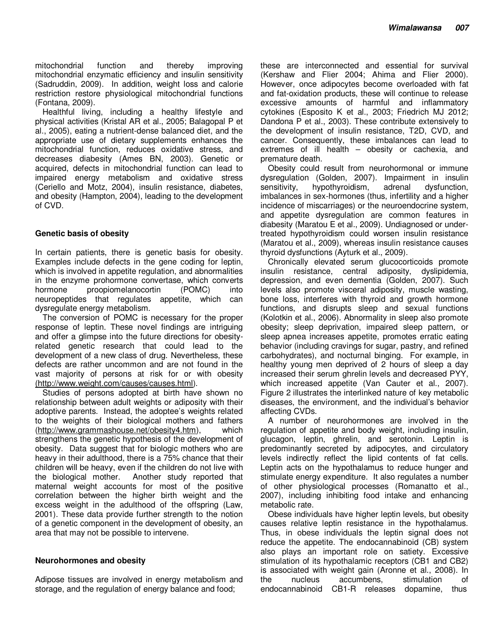mitochondrial function and thereby improving mitochondrial enzymatic efficiency and insulin sensitivity (Sadruddin, 2009). In addition, weight loss and calorie restriction restore physiological mitochondrial functions (Fontana, 2009).

Healthful living, including a healthy lifestyle and physical activities (Kristal AR et al., 2005; Balagopal P et al., 2005), eating a nutrient-dense balanced diet, and the appropriate use of dietary supplements enhances the mitochondrial function, reduces oxidative stress, and decreases diabesity (Ames BN, 2003). Genetic or acquired, defects in mitochondrial function can lead to impaired energy metabolism and oxidative stress (Ceriello and Motz, 2004), insulin resistance, diabetes, and obesity (Hampton, 2004), leading to the development of CVD.

#### **Genetic basis of obesity**

In certain patients, there is genetic basis for obesity. Examples include defects in the gene coding for leptin, which is involved in appetite regulation, and abnormalities in the enzyme prohormone convertase, which converts hormone proopiomelanocortin (POMC) into neuropeptides that regulates appetite, which can dysregulate energy metabolism.

The conversion of POMC is necessary for the proper response of leptin. These novel findings are intriguing and offer a glimpse into the future directions for obesityrelated genetic research that could lead to the development of a new class of drug. Nevertheless, these defects are rather uncommon and are not found in the vast majority of persons at risk for or with obesity (http://www.weight.com/causes/causes.html).

Studies of persons adopted at birth have shown no relationship between adult weights or adiposity with their adoptive parents. Instead, the adoptee's weights related to the weights of their biological mothers and fathers (http://www.grammashouse.net/obesity4.htm), which strengthens the genetic hypothesis of the development of obesity. Data suggest that for biologic mothers who are heavy in their adulthood, there is a 75% chance that their children will be heavy, even if the children do not live with the biological mother. Another study reported that maternal weight accounts for most of the positive correlation between the higher birth weight and the excess weight in the adulthood of the offspring (Law, 2001). These data provide further strength to the notion of a genetic component in the development of obesity, an area that may not be possible to intervene.

#### **Neurohormones and obesity**

Adipose tissues are involved in energy metabolism and storage, and the regulation of energy balance and food;

these are interconnected and essential for survival (Kershaw and Flier 2004; Ahima and Flier 2000). However, once adipocytes become overloaded with fat and fat-oxidation products, these will continue to release excessive amounts of harmful and inflammatory cytokines (Esposito K et al., 2003; Friedrich MJ 2012; Dandona P et al., 2003). These contribute extensively to the development of insulin resistance, T2D, CVD, and cancer. Consequently, these imbalances can lead to extremes of ill health – obesity or cachexia, and premature death.

Obesity could result from neurohormonal or immune dysregulation (Golden, 2007). Impairment in insulin sensitivity, hypothyroidism, adrenal dysfunction, imbalances in sex-hormones (thus, infertility and a higher incidence of miscarriages) or the neuroendocrine system, and appetite dysregulation are common features in diabesity (Maratou E et al., 2009). Undiagnosed or undertreated hypothyroidism could worsen insulin resistance (Maratou et al., 2009), whereas insulin resistance causes thyroid dysfunctions (Ayturk et al., 2009).

Chronically elevated serum glucocorticoids promote insulin resistance, central adiposity, dyslipidemia, depression, and even dementia (Golden, 2007). Such levels also promote visceral adiposity, muscle wasting, bone loss, interferes with thyroid and growth hormone functions, and disrupts sleep and sexual functions (Kolotkin et al., 2006). Abnormality in sleep also promote obesity; sleep deprivation, impaired sleep pattern, or sleep apnea increases appetite, promotes erratic eating behavior (including cravings for sugar, pastry, and refined carbohydrates), and nocturnal binging. For example, in healthy young men deprived of 2 hours of sleep a day increased their serum ghrelin levels and decreased PYY, which increased appetite (Van Cauter et al., 2007). Figure 2 illustrates the interlinked nature of key metabolic diseases, the environment, and the individual's behavior affecting CVDs.

A number of neurohormones are involved in the regulation of appetite and body weight, including insulin, glucagon, leptin, ghrelin, and serotonin. Leptin is predominantly secreted by adipocytes, and circulatory levels indirectly reflect the lipid contents of fat cells. Leptin acts on the hypothalamus to reduce hunger and stimulate energy expenditure. It also regulates a number of other physiological processes (Romanatto et al., 2007), including inhibiting food intake and enhancing metabolic rate.

Obese individuals have higher leptin levels, but obesity causes relative leptin resistance in the hypothalamus. Thus, in obese individuals the leptin signal does not reduce the appetite. The endocannabinoid (CB) system also plays an important role on satiety. Excessive stimulation of its hypothalamic receptors (CB1 and CB2) is associated with weight gain (Aronne et al., 2008). In the nucleus accumbens, stimulation of endocannabinoid CB1-R releases dopamine, thus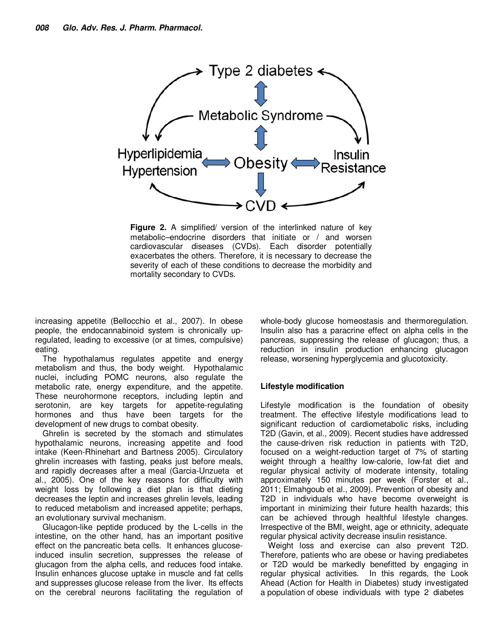

**Figure 2.** A simplified/ version of the interlinked nature of key metabolic–endocrine disorders that initiate or / and worsen cardiovascular diseases (CVDs). Each disorder potentially exacerbates the others. Therefore, it is necessary to decrease the severity of each of these conditions to decrease the morbidity and mortality secondary to CVDs.

increasing appetite (Bellocchio et al., 2007). In obese people, the endocannabinoid system is chronically upregulated, leading to excessive (or at times, compulsive) eating.

The hypothalamus regulates appetite and energy metabolism and thus, the body weight. Hypothalamic nuclei, including POMC neurons, also regulate the metabolic rate, energy expenditure, and the appetite. These neurohormone receptors, including leptin and serotonin, are key targets for appetite-regulating hormones and thus have been targets for the development of new drugs to combat obesity.

Ghrelin is secreted by the stomach and stimulates hypothalamic neurons, increasing appetite and food intake (Keen-Rhinehart and Bartness 2005). Circulatory ghrelin increases with fasting, peaks just before meals, and rapidly decreases after a meal (Garcia-Unzueta et al., 2005). One of the key reasons for difficulty with weight loss by following a diet plan is that dieting decreases the leptin and increases ghrelin levels, leading to reduced metabolism and increased appetite; perhaps, an evolutionary survival mechanism.

Glucagon-like peptide produced by the L-cells in the intestine, on the other hand, has an important positive effect on the pancreatic beta cells. It enhances glucoseinduced insulin secretion, suppresses the release of glucagon from the alpha cells, and reduces food intake. Insulin enhances glucose uptake in muscle and fat cells and suppresses glucose release from the liver. Its effects on the cerebral neurons facilitating the regulation of whole-body glucose homeostasis and thermoregulation. Insulin also has a paracrine effect on alpha cells in the pancreas, suppressing the release of glucagon; thus, a reduction in insulin production enhancing glucagon release, worsening hyperglycemia and glucotoxicity.

## **Lifestyle modification**

Lifestyle modification is the foundation of obesity treatment. The effective lifestyle modifications lead to significant reduction of cardiometabolic risks, including T2D (Gavin, et al., 2009). Recent studies have addressed the cause-driven risk reduction in patients with T2D, focused on a weight-reduction target of 7% of starting weight through a healthy low-calorie, low-fat diet and regular physical activity of moderate intensity, totaling approximately 150 minutes per week (Forster et al., 2011; Elmahgoub et al., 2009). Prevention of obesity and T2D in individuals who have become overweight is important in minimizing their future health hazards; this can be achieved through healthful lifestyle changes. Irrespective of the BMI, weight, age or ethnicity, adequate regular physical activity decrease insulin resistance.

Weight loss and exercise can also prevent T2D. Therefore, patients who are obese or having prediabetes or T2D would be markedly benefitted by engaging in regular physical activities. In this regards, the Look Ahead (Action for Health in Diabetes) study investigated a population of obese individuals with type 2 diabetes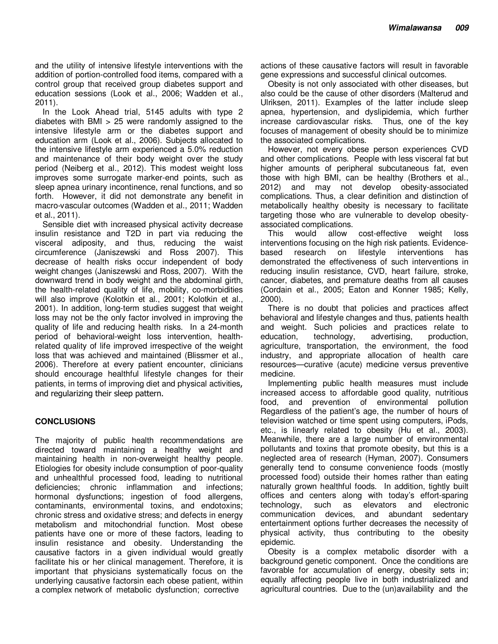and the utility of intensive lifestyle interventions with the addition of portion-controlled food items, compared with a control group that received group diabetes support and education sessions (Look et al., 2006; Wadden et al., 2011).

In the Look Ahead trial, 5145 adults with type 2 diabetes with  $BMI > 25$  were randomly assigned to the intensive lifestyle arm or the diabetes support and education arm (Look et al., 2006). Subjects allocated to the intensive lifestyle arm experienced a 5.0% reduction and maintenance of their body weight over the study period (Neiberg et al., 2012). This modest weight loss improves some surrogate marker-end points, such as sleep apnea urinary incontinence, renal functions, and so forth. However, it did not demonstrate any benefit in macro-vascular outcomes (Wadden et al., 2011; Wadden et al., 2011).

Sensible diet with increased physical activity decrease insulin resistance and T2D in part via reducing the visceral adiposity, and thus, reducing the waist circumference (Janiszewski and Ross 2007). This decrease of health risks occur independent of body weight changes (Janiszewski and Ross, 2007). With the downward trend in body weight and the abdominal girth, the health-related quality of life, mobility, co-morbidities will also improve (Kolotkin et al., 2001; Kolotkin et al., 2001). In addition, long-term studies suggest that weight loss may not be the only factor involved in improving the quality of life and reducing health risks. In a 24-month period of behavioral-weight loss intervention, healthrelated quality of life improved irrespective of the weight loss that was achieved and maintained (Blissmer et al., 2006). Therefore at every patient encounter, clinicians should encourage healthful lifestyle changes for their patients, in terms of improving diet and physical activities, and regularizing their sleep pattern.

## **CONCLUSIONS**

The majority of public health recommendations are directed toward maintaining a healthy weight and maintaining health in non-overweight healthy people. Etiologies for obesity include consumption of poor-quality and unhealthful processed food, leading to nutritional deficiencies; chronic inflammation and infections; hormonal dysfunctions; ingestion of food allergens, contaminants, environmental toxins, and endotoxins; chronic stress and oxidative stress; and defects in energy metabolism and mitochondrial function. Most obese patients have one or more of these factors, leading to insulin resistance and obesity. Understanding the causative factors in a given individual would greatly facilitate his or her clinical management. Therefore, it is important that physicians systematically focus on the underlying causative factorsin each obese patient, within a complex network of metabolic dysfunction; corrective

actions of these causative factors will result in favorable gene expressions and successful clinical outcomes.

Obesity is not only associated with other diseases, but also could be the cause of other disorders (Malterud and Ulriksen, 2011). Examples of the latter include sleep apnea, hypertension, and dyslipidemia, which further increase cardiovascular risks. Thus, one of the key focuses of management of obesity should be to minimize the associated complications.

However, not every obese person experiences CVD and other complications. People with less visceral fat but higher amounts of peripheral subcutaneous fat, even those with high BMI, can be healthy (Brothers et al., 2012) and may not develop obesity-associated complications. Thus, a clear definition and distinction of metabolically healthy obesity is necessary to facilitate targeting those who are vulnerable to develop obesityassociated complications.

This would allow cost-effective weight loss interventions focusing on the high risk patients. Evidencebased research on lifestyle interventions has demonstrated the effectiveness of such interventions in reducing insulin resistance, CVD, heart failure, stroke, cancer, diabetes, and premature deaths from all causes (Cordain et al., 2005; Eaton and Konner 1985; Kelly, 2000).

There is no doubt that policies and practices affect behavioral and lifestyle changes and thus, patients health and weight. Such policies and practices relate to<br>education, technology, advertising, production, education, technology, advertising, agriculture, transportation, the environment, the food industry, and appropriate allocation of health care resources—curative (acute) medicine versus preventive medicine.

Implementing public health measures must include increased access to affordable good quality, nutritious food, and prevention of environmental pollution Regardless of the patient's age, the number of hours of television watched or time spent using computers, iPods, etc., is linearly related to obesity (Hu et al., 2003). Meanwhile, there are a large number of environmental pollutants and toxins that promote obesity, but this is a neglected area of research (Hyman, 2007). Consumers generally tend to consume convenience foods (mostly processed food) outside their homes rather than eating naturally grown healthful foods. In addition, tightly built offices and centers along with today's effort-sparing technology, such as elevators and electronic communication devices, and abundant sedentary entertainment options further decreases the necessity of physical activity, thus contributing to the obesity epidemic.

Obesity is a complex metabolic disorder with a background genetic component. Once the conditions are favorable for accumulation of energy, obesity sets in; equally affecting people live in both industrialized and agricultural countries. Due to the (un)availability and the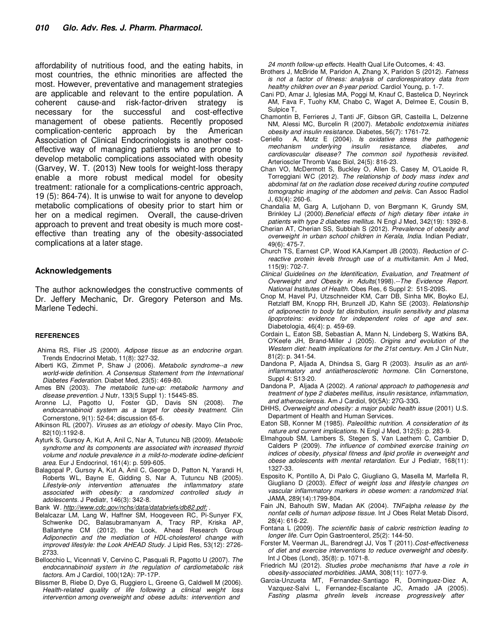affordability of nutritious food, and the eating habits, in most countries, the ethnic minorities are affected the most. However, preventative and management strategies are applicable and relevant to the entire population. A coherent cause-and risk-factor-driven strategy<br>necessary for the successful and cost-effec necessary for the successful and cost-effective management of obese patients. Recently proposed complication-centeric approach by the American Association of Clinical Endocrinologists is another costeffective way of managing patients who are prone to develop metabolic complications associated with obesity (Garvey, W. T. (2013) New tools for weight-loss therapy enable a more robust medical model for obesity treatment: rationale for a complications-centric approach, 19 (5): 864-74). It is unwise to wait for anyone to develop metabolic complications of obesity prior to start him or her on a medical regimen. Overall, the cause-driven approach to prevent and treat obesity is much more costeffective than treating any of the obesity-associated complications at a later stage.

#### **Acknowledgements**

The author acknowledges the constructive comments of Dr. Jeffery Mechanic, Dr. Gregory Peterson and Ms. Marlene Tedechi.

#### **REFERENCES**

- Ahima RS, Flier JS (2000). *Adipose tissue as an endocrine organ.* Trends Endocrinol Metab, 11(8): 327-32.
- Alberti KG, Zimmet P, Shaw J (2006). *Metabolic syndrome--a new world-wide definition. A Consensus Statement from the International Diabetes Federation.* Diabet Med, 23(5): 469-80.
- Ames BN (2003). *The metabolic tune-up: metabolic harmony and disease prevention.* J Nutr, 133(5 Suppl 1): 1544S-8S.
- Aronne LJ, Pagotto U, Foster GD, Davis SN (2008). *The endocannabinoid system as a target for obesity treatment.* Clin Cornerstone, 9(1): 52-64; discussion 65-6.
- Atkinson RL (2007). *Viruses as an etiology of obesity.* Mayo Clin Proc, 82(10):1192-8.
- Ayturk S, Gursoy A, Kut A, Anil C, Nar A, Tutuncu NB (2009). *Metabolic syndrome and its components are associated with increased thyroid volume and nodule prevalence in a mild-to-moderate iodine-deficient area.* Eur J Endocrinol, 161(4): p. 599-605.
- Balagopal P, Gursoy A, Kut A, Anil C, George D, Patton N, Yarandi H, Roberts WL, Bayne E, Gidding S, Nar A, Tutuncu NB (2005). *Lifestyle-only intervention attenuates the inflammatory state associated with obesity: a randomized controlled study in adolescents.* J Pediatr, 146(3): 342-8.

Bank W. *http://www.cdc.gov/nchs/data/databriefs/db82.pdf;* .

- Belalcazar LM, Lang W, Haffner SM, Hoogeveen RC, Pi-Sunyer FX, Schwenke DC, Balasubramanyam A, Tracy RP, Kriska AP, Ballantyne CM (2012). the Look, Ahead Research Group *Adiponectin and the mediation of HDL-cholesterol change with improved lifestyle: the Look AHEAD Study.* J Lipid Res, 53(12): 2726- 2733.
- Bellocchio L, Vicennati V, Cervino C, Pasquali R, Pagotto U (2007). *The endocannabinoid system in the regulation of cardiometabolic risk factors.* Am J Cardiol, 100(12A): 7P-17P.
- Blissmer B, Riebe D, Dye G, Ruggiero L, Greene G, Caldwell M (2006). *Health-related quality of life following a clinical weight loss intervention among overweight and obese adults: intervention and*

*24 month follow-up effects.* Health Qual Life Outcomes, 4: 43.

- Brothers J, McBride M, Paridon A, Zhang X, Paridon S (2012). *Fatness is not a factor of fitness: analysis of cardiorespiratory data from healthy children over an 8-year period.* Cardiol Young, p. 1-7.
- Cani PD, Amar J, Iglesias MA, Poggi M, Knauf C, Bastelica D, Neyrinck AM, Fava F, Tuohy KM, Chabo C, Waget A, Delmee E, Cousin B, Sulpice T,
- Chamontin B, Ferrieres J, Tanti JF, Gibson GR, Casteilla L, Delzenne NM, Alessi MC, Burcelin R (2007). *Metabolic endotoxemia initiates obesity and insulin resistance.* Diabetes, 56(7): 1761-72.
- Ceriello A, Motz E (2004). *Is oxidative stress the pathogenic insulin resistance, diabetes, and cardiovascular disease? The common soil hypothesis revisited.* Arterioscler Thromb Vasc Biol, 24(5): 816-23.
- Chan VO, McDermott S, Buckley O, Allen S, Casey M, O'Laoide R, Torreggiani WC (2012). *The relationship of body mass index and abdominal fat on the radiation dose received during routine computed tomographic imaging of the abdomen and pelvis.* Can Assoc Radiol J, 63(4): 260-6.
- Chandalia M, Garg A, Lutjohann D, von Bergmann K, Grundy SM, Brinkley LJ (2000).*Beneficial effects of high dietary fiber intake in patients with type 2 diabetes mellitus.* N Engl J Med, 342(19): 1392-8.
- Cherian AT, Cherian SS, Subbiah S (2012). *Prevalence of obesity and overweight in urban school children in Kerala, India.* Indian Pediatr, 49(6): 475-7.
- Church TS, Earnest CP, Wood KA,Kampert JB (2003). *Reduction of Creactive protein levels through use of a multivitamin.* Am J Med, 115(9): 702-7.
- *Clinical Guidelines on the Identification, Evaluation, and Treatment of Overweight and Obesity in Adults*(1998).*--The Evidence Report. National Institutes of Health.* Obes Res, 6 Suppl 2: 51S-209S.
- Cnop M, Havel PJ, Utzschneider KM, Carr DB, Sinha MK, Boyko EJ, Retzlaff BM, Knopp RH, Brunzell JD, Kahn SE (2003). *Relationship of adiponectin to body fat distribution, insulin sensitivity and plasma lipoproteins: evidence for independent roles of age and sex.* Diabetologia, 46(4): p. 459-69.
- Cordain L, Eaton SB, Sebastian A, Mann N, Lindeberg S, Watkins BA, O'Keefe JH, Brand-Miller J (2005). *Origins and evolution of the Western diet: health implications for the 21st century.* Am J Clin Nutr, 81(2): p. 341-54.
- Dandona P, Aljada A, Dhindsa S, Garg R (2003). *Insulin as an antiinflammatory and antiatherosclerotic hormone.* Clin Cornerstone, Suppl 4: S13-20.
- Dandona P, Aljada A (2002). *A rational approach to pathogenesis and treatment of type 2 diabetes mellitus, insulin resistance, inflammation, and atherosclerosis.* Am J Cardiol, 90(5A): 27G-33G.
- DHHS, *Overweight and obesity: a major public health issue* (2001) U.S. Department of Health and Human Services.
- Eaton SB, Konner M (1985). *Paleolithic nutrition. A consideration of its nature and current implications.* N Engl J Med, 312(5): p. 283-9.
- Elmahgoub SM, Lambers S, Stegen S, Van Laethem C, Cambier D, Calders P (2009). *The influence of combined exercise training on indices of obesity, physical fitness and lipid profile in overweight and obese adolescents with mental retardation.* Eur J Pediatr, 168(11): 1327-33.
- Esposito K, Pontillo A, Di Palo C, Giugliano G, Masella M, Marfella R, Giugliano D (2003). *Effect of weight loss and lifestyle changes on vascular inflammatory markers in obese women: a randomized trial.* JAMA, 289(14):1799-804.
- Fain JN, Bahouth SW, Madan AK (2004). *TNFalpha release by the nonfat cells of human adipose tissue.* Int J Obes Relat Metab Disord, 28(4): 616-22.
- Fontana L (2009). *The scientific basis of caloric restriction leading to longer life.* Curr Opin Gastroenterol, 25(2): 144-50.
- Forster M, Veerman JL, Barendregt JJ, Vos T (2011).*Cost-effectiveness of diet and exercise interventions to reduce overweight and obesity.* Int J Obes (Lond), 35(8): p. 1071-8.
- Friedrich MJ (2012). *Studies probe mechanisms that have a role in obesity-associated morbidities.* JAMA, 308(11): 1077-9.
- Garcia-Unzueta MT, Fernandez-Santiago R, Dominguez-Diez A, Vazquez-Salvi L, Fernandez-Escalante JC, Amado JA (2005). Fasting plasma ghrelin levels increase progressively after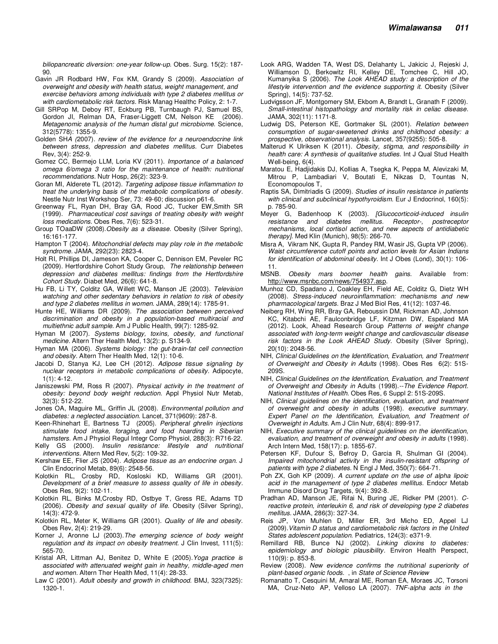*biliopancreatic diversion: one-year follow-up.* Obes. Surg. 15(2): 187- 90.

- Gavin JR Rodbard HW, Fox KM, Grandy S (2009). *Association of overweight and obesity with health status, weight management, and exercise behaviors among individuals with type 2 diabetes mellitus or with cardiometabolic risk factors.* Risk Manag Healthc Policy, 2: 1-7.
- Gill SRPop M, Deboy RT, Eckburg PB, Turnbaugh PJ, Samuel BS, Gordon JI, Relman DA, Fraser-Liggett CM, Nelson KE (2006). *Metagenomic analysis of the human distal gut microbiome.* Science, 312(5778): 1355-9.
- Golden SH*A (*2007). *review of the evidence for a neuroendocrine link between stress, depression and diabetes mellitus.* Curr Diabetes Rev, 3(4): 252-9.
- Gomez CC, Bermejo LLM, Loria KV (2011). *Importance of a balanced omega 6/omega 3 ratio for the maintenance of health: nutritional recommendations.* Nutr Hosp, 26(2): 323-9.
- Goran MI, Alderete TL (2012). *Targeting adipose tissue inflammation to treat the underlying basis of the metabolic complications of obesity.* Nestle Nutr Inst Workshop Ser, 73: 49-60; discussion p61-6.
- Greenway FL, Ryan DH, Bray GA, Rood JC, Tucker EW,Smith SR (1999). *Pharmaceutical cost savings of treating obesity with weight loss medications.* Obes Res, 7(6): 523-31.
- Group TOaaDW (2008).*Obesity as a disease.* Obesity (Silver Spring), 16:161-177.
- Hampton T (2004). *Mitochondrial defects may play role in the metabolic syndrome.* JAMA, 292(23): 2823-4.
- Holt RI, Phillips DI, Jameson KA, Cooper C, Dennison EM, Peveler RC (2009). Hertfordshire Cohort Study Group, *The relationship between depression and diabetes mellitus: findings from the Hertfordshire Cohort Study.* Diabet Med, 26(6): 641-8.
- Hu FB, Li TY, Colditz GA, Willett WC, Manson JE (2003). *Television watching and other sedentary behaviors in relation to risk of obesity and type 2 diabetes mellitus in women.* JAMA, 289(14): 1785-91.
- Hunte HE, Williams DR (2009). *The association between perceived discrimination and obesity in a population-based multiracial and multiethnic adult sample.* Am J Public Health, 99(7): 1285-92.
- Hyman M (2007). *Systems biology, toxins, obesity, and functional medicine.* Altern Ther Health Med, 13(2): p. S134-9.
- Hyman MA (2006). *Systems biology: the gut-brain-fat cell connection and obesity.* Altern Ther Health Med, 12(1): 10-6.
- Jacobi D, Stanya KJ, Lee CH (2012). *Adipose tissue signaling by nuclear receptors in metabolic complications of obesity.* Adipocyte, 1(1): 4-12.
- Janiszewski PM, Ross R (2007). *Physical activity in the treatment of obesity: beyond body weight reduction.* Appl Physiol Nutr Metab, 32(3): 512-22.
- Jones OA, Maguire ML, Griffin JL (2008). *Environmental pollution and diabetes: a neglected association.* Lancet, 371(9609): 287-8.
- Keen-Rhinehart E, Bartness TJ (2005). *Peripheral ghrelin injections stimulate food intake, foraging, and food hoarding in Siberian hamsters.* Am J Physiol Regul Integr Comp Physiol, 288(3): R716-22.
- Kelly GS (2000). *Insulin resistance: lifestyle and nutritional interventions.* Altern Med Rev, 5(2): 109-32.
- Kershaw EE, Flier JS (2004). *Adipose tissue as an endocrine organ.* J Clin Endocrinol Metab, 89(6): 2548-56.
- Kolotkin RL, Crosby RD, Kosloski KD, Williams GR (2001). *Development of a brief measure to assess quality of life in obesity.* Obes Res, 9(2): 102-11.
- Kolotkin RL, Binks M,Crosby RD, Ostbye T, Gress RE, Adams TD (2006). *Obesity and sexual quality of life.* Obesity (Silver Spring), 14(3): 472-9.
- Kolotkin RL, Meter K, Williams GR (2001). *Quality of life and obesity.* Obes Rev, 2(4): 219-29.
- Korner J, Aronne LJ (2003).*The emerging science of body weight regulation and its impact on obesity treatment.* J Clin Invest, 111(5): 565-70.
- Kristal AR, Littman AJ, Benitez D, White E (2005).*Yoga practice is associated with attenuated weight gain in healthy, middle-aged men and women.* Altern Ther Health Med, 11(4): 28-33.
- Law C (2001). *Adult obesity and growth in childhood.* BMJ, 323(7325): 1320-1.
- Look ARG, Wadden TA, West DS, Delahanty L, Jakicic J, Rejeski J, Williamson D, Berkowitz RI, Kelley DE, Tomchee C, Hill JO, Kumanyika S (2006). *The Look AHEAD study: a description of the lifestyle intervention and the evidence supporting it.* Obesity (Silver Spring), 14(5): 737-52.
- Ludvigsson JF, Montgomery SM, Ekbom A, Brandt L, Granath F (2009). *Small-intestinal histopathology and mortality risk in celiac disease.* JAMA, 302(11): 1171-8.
- Ludwig DS, Peterson KE, Gortmaker SL (2001). *Relation between consumption of sugar-sweetened drinks and childhood obesity: a prospective, observational analysis.* Lancet, 357(9255): 505-8.
- Malterud K Ulriksen K (2011). *Obesity, stigma, and responsibility in health care: A synthesis of qualitative studies.* Int J Qual Stud Health Well-being, 6(4).
- Maratou E, Hadjidakis DJ, Kollias A, Tsegka K, Peppa M, Alevizaki M, Mitrou P, Lambadiari V, Boutati E, Nikzas D, Tountas N, Economopoulos T,
- Raptis SA, Dimitriadis G (2009). *Studies of insulin resistance in patients with clinical and subclinical hypothyroidism.* Eur J Endocrinol, 160(5): p. 785-90.
- Meyer G, Badenhoop K (2003). *[Glucocorticoid-induced insulin resistance and diabetes mellitus. Receptor-, postreceptor mechanisms, local cortisol action, and new aspects of antidiabetic therapy].* Med Klin (Munich), 98(5): 266-70.
- Misra A, Vikram NK, Gupta R, Pandey RM, Wasir JS, Gupta VP (2006). *Waist circumference cutoff points and action levels for Asian Indians for identification of abdominal obesity.* Int J Obes (Lond), 30(1): 106- 11.
- MSNB. *Obesity mars boomer health gains*. Available from: http://www.msnbc.com/news/754937.asp.
- Munhoz CD, Spadano J, Coakley EH, Field AE, Colditz G, Dietz WH (2008). *Stress-induced neuroinflammation: mechanisms and new pharmacological targets.* Braz J Med Biol Res, 41(12): 1037-46.
- Neiberg RH, Wing RR, Bray GA, Reboussin DM, Rickman AD, Johnson KC, Kitabchi AE, Faulconbridge LF, Kitzman DW, Espeland MA (2012). Look, Ahead Research Group *Patterns of weight change associated with long-term weight change and cardiovascular disease risk factors in the Look AHEAD Study.* Obesity (Silver Spring), 20(10): 2048-56.
- NIH, *Clinical Guidelines on the Identification, Evaluation, and Treatment of Overweight and Obesity in Adults* (1998). Obes Res 6(2): 51S-209S.
- NIH, *Clinical Guidelines on the Identification, Evaluation, and Treatment of Overweight and Obesity in* Adults (1998).*--The Evidence Report. National Institutes of Health.* Obes Res, 6 Suppl 2: 51S-209S.
- NIH, *Clinical guidelines on the identification, evaluation, and treatment of overweight and obesity in* adults (1998). *executive summary. Expert Panel on the Identification, Evaluation, and Treatment of Overweight in Adults.* Am J Clin Nutr, 68(4): 899-917.
- NIH, *Executive summary of the clinical guidelines on the identification, evaluation, and treatment of overweight and obesity in adults* (1998). Arch Intern Med, 158(17): p. 1855-67.
- Petersen KF, Dufour S, Befroy D, Garcia R, Shulman GI (2004). *Impaired mitochondrial activity in the insulin-resistant offspring of patients with type 2 diabetes.* N Engl J Med, 350(7): 664-71.
- Poh ZX, Goh KP (2009). *A current update on the use of alpha lipoic acid in the management of type 2 diabetes mellitus.* Endocr Metab Immune Disord Drug Targets, 9(4): 392-8.
- Pradhan AD, Manson JE, Rifai N, Buring JE, Ridker PM (2001). *Creactive protein, interleukin 6, and risk of developing type 2 diabetes mellitus.* JAMA, 286(3): 327-34.
- Reis JP, Von Muhlen D, Miller ER, 3rd Micho ED, Appel LJ (2009).*Vitamin D status and cardiometabolic risk factors in the United States adolescent population.* Pediatrics, 124(3): e371-9.
- Remillard RB, Bunce NJ (2002). *Linking dioxins to diabetes: epidemiology and biologic plausibility.* Environ Health Perspect, 110(9): p. 853-8.
- Review (2008). *New evidence confirms the nutritional superiority of plant-based organic foods.* , in *State of Science Review*
- Romanatto T, Cesquini M, Amaral ME, Roman EA, Moraes JC, Torsoni MA, Cruz-Neto AP, Velloso LA (2007). *TNF-alpha acts in the*